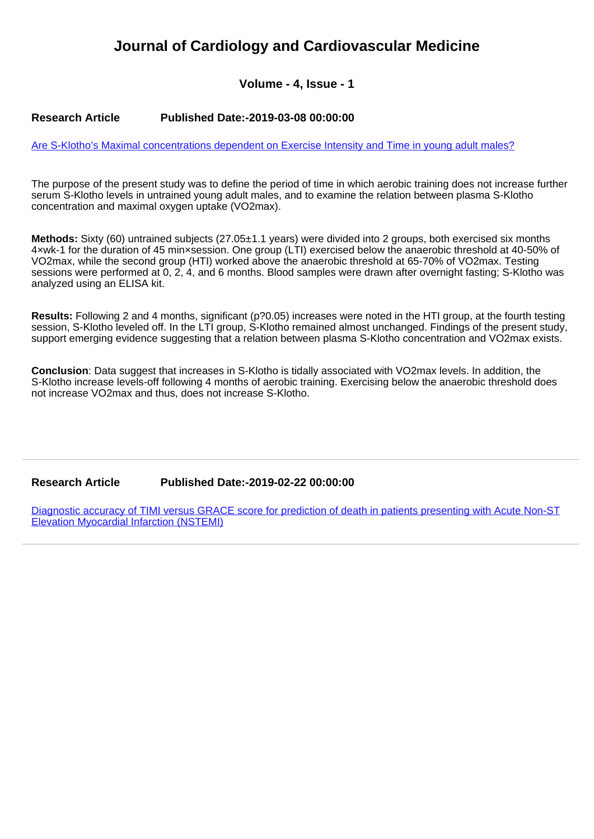## **Journal of Cardiology and Cardiovascular Medicine**

## **Volume - 4, Issue - 1**

## **Research Article Published Date:-2019-03-08 00:00:00**

[Are S-Klotho's Maximal concentrations dependent on Exercise Intensity and Time in young adult males?](https://www.cardiologymedjournal.com/articles/jccm-aid1033.pdf)

The purpose of the present study was to define the period of time in which aerobic training does not increase further serum S-Klotho levels in untrained young adult males, and to examine the relation between plasma S-Klotho concentration and maximal oxygen uptake (VO2max).

**Methods:** Sixty (60) untrained subjects (27.05±1.1 years) were divided into 2 groups, both exercised six months 4×wk-1 for the duration of 45 min×session. One group (LTI) exercised below the anaerobic threshold at 40-50% of VO2max, while the second group (HTI) worked above the anaerobic threshold at 65-70% of VO2max. Testing sessions were performed at 0, 2, 4, and 6 months. Blood samples were drawn after overnight fasting; S-Klotho was analyzed using an ELISA kit.

**Results:** Following 2 and 4 months, significant (p?0.05) increases were noted in the HTI group, at the fourth testing session, S-Klotho leveled off. In the LTI group, S-Klotho remained almost unchanged. Findings of the present study, support emerging evidence suggesting that a relation between plasma S-Klotho concentration and VO2max exists.

**Conclusion**: Data suggest that increases in S-Klotho is tidally associated with VO2max levels. In addition, the S-Klotho increase levels-off following 4 months of aerobic training. Exercising below the anaerobic threshold does not increase VO2max and thus, does not increase S-Klotho.

## **Research Article Published Date:-2019-02-22 00:00:00**

[Diagnostic accuracy of TIMI versus GRACE score for prediction of death in patients presenting with Acute Non-ST](https://www.cardiologymedjournal.com/articles/jccm-aid1032.pdf) [Elevation Myocardial Infarction \(NSTEMI\)](https://www.cardiologymedjournal.com/articles/jccm-aid1032.pdf)